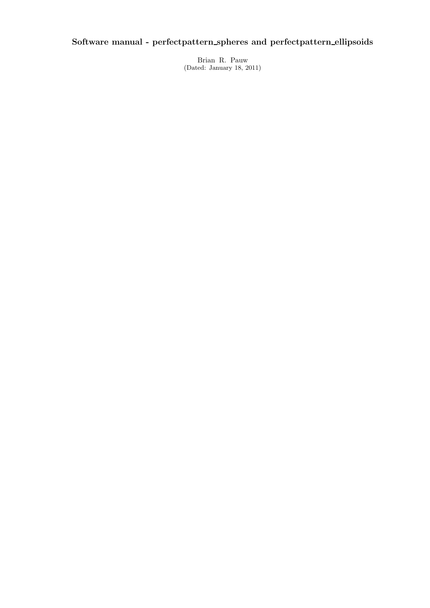# **Software manual - perfectpattern spheres and perfectpattern ellipsoids**

Brian R. Pauw (Dated: January 18, 2011)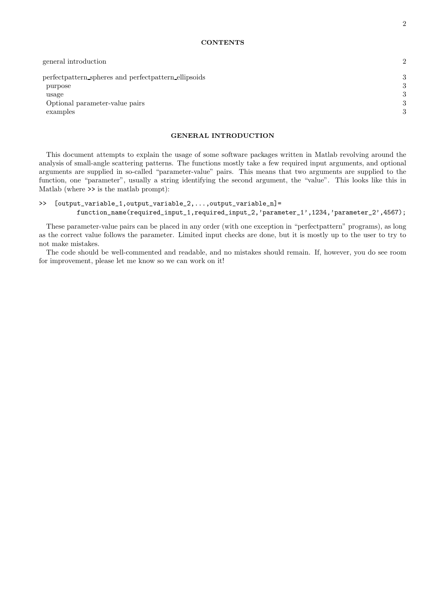| general introduction                                   | $\mathcal{D}_{\mathcal{L}}$ |
|--------------------------------------------------------|-----------------------------|
| perfect pattern spheres and perfect pattern ellipsoids | 3                           |
| purpose                                                | 3                           |
| usage                                                  | 3                           |
| Optional parameter-value pairs                         | 3                           |
| examples                                               | $\Omega$                    |

This document attempts to explain the usage of some software packages written in Matlab revolving around the analysis of small-angle scattering patterns. The functions mostly take a few required input arguments, and optional arguments are supplied in so-called "parameter-value" pairs. This means that two arguments are supplied to the function, one "parameter", usually a string identifying the second argument, the "value". This looks like this in Matlab (where >> is the matlab prompt):

# >> [output\_variable\_1,output\_variable\_2,...,output\_variable\_n]= function\_name(required\_input\_1,required\_input\_2,'parameter\_1',1234,'parameter\_2',4567);

These parameter-value pairs can be placed in any order (with one exception in "perfectpattern" programs), as long as the correct value follows the parameter. Limited input checks are done, but it is mostly up to the user to try to not make mistakes.

The code should be well-commented and readable, and no mistakes should remain. If, however, you do see room for improvement, please let me know so we can work on it!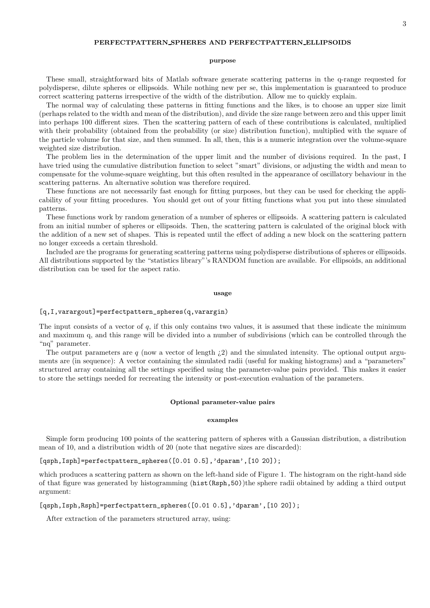### **purpose**

These small, straightforward bits of Matlab software generate scattering patterns in the q-range requested for polydisperse, dilute spheres or ellipsoids. While nothing new per se, this implementation is guaranteed to produce correct scattering patterns irrespective of the width of the distribution. Allow me to quickly explain.

The normal way of calculating these patterns in fitting functions and the likes, is to choose an upper size limit (perhaps related to the width and mean of the distribution), and divide the size range between zero and this upper limit into perhaps 100 different sizes. Then the scattering pattern of each of these contributions is calculated, multiplied with their probability (obtained from the probability (or size) distribution function), multiplied with the square of the particle volume for that size, and then summed. In all, then, this is a numeric integration over the volume-square weighted size distribution.

The problem lies in the determination of the upper limit and the number of divisions required. In the past, I have tried using the cumulative distribution function to select "smart" divisions, or adjusting the width and mean to compensate for the volume-square weighting, but this often resulted in the appearance of oscillatory behaviour in the scattering patterns. An alternative solution was therefore required.

These functions are not necessarily fast enough for fitting purposes, but they can be used for checking the applicability of your fitting procedures. You should get out of your fitting functions what you put into these simulated patterns.

These functions work by random generation of a number of spheres or ellipsoids. A scattering pattern is calculated from an initial number of spheres or ellipsoids. Then, the scattering pattern is calculated of the original block with the addition of a new set of shapes. This is repeated until the effect of adding a new block on the scattering pattern no longer exceeds a certain threshold.

Included are the programs for generating scattering patterns using polydisperse distributions of spheres or ellipsoids. All distributions supported by the "statistics library"'s RANDOM function are available. For ellipsoids, an additional distribution can be used for the aspect ratio.

### **usage**

## [q,I,varargout]=perfectpattern\_spheres(q,varargin)

The input consists of a vector of *q*, if this only contains two values, it is assumed that these indicate the minimum and maximum q, and this range will be divided into a number of subdivisions (which can be controlled through the "nq" parameter.

The output parameters are  $q$  (now a vector of length  $(2)$ ) and the simulated intensity. The optional output arguments are (in sequence): A vector containing the simulated radii (useful for making histograms) and a "parameters" structured array containing all the settings specified using the parameter-value pairs provided. This makes it easier to store the settings needed for recreating the intensity or post-execution evaluation of the parameters.

### **Optional parameter-value pairs**

### **examples**

Simple form producing 100 points of the scattering pattern of spheres with a Gaussian distribution, a distribution mean of 10, and a distribution width of 20 (note that negative sizes are discarded):

[qsph,Isph]=perfectpattern\_spheres([0.01 0.5],'dparam',[10 20]);

which produces a scattering pattern as shown on the left-hand side of Figure 1. The histogram on the right-hand side of that figure was generated by histogramming (hist(Rsph,50))the sphere radii obtained by adding a third output argument:

[qsph,Isph,Rsph]=perfectpattern\_spheres( $[0.01 0.5]$ ,'dparam', $[10 20]$ );

After extraction of the parameters structured array, using: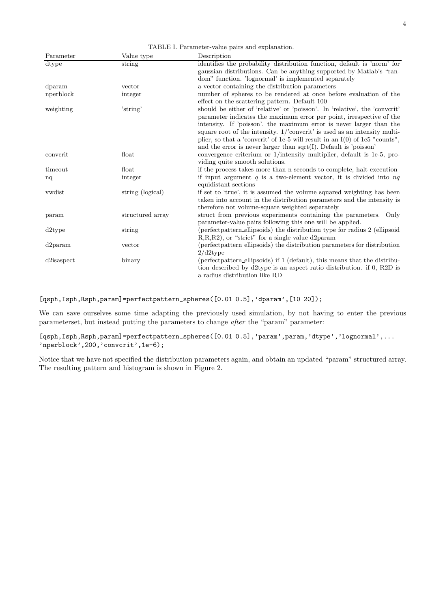Parameter Value type Description dtype string identifies the probability distribution function, default is 'norm' for gaussian distributions. Can be anything supported by Matlab's "random" function. 'lognormal' is implemented separately dparam vector a vector vector a vector containing the distribution parameters nperblock integer and mumber of spheres to be rendered at once below  $\frac{1}{2}$ integer number of spheres to be rendered at once before evaluation of the effect on the scattering pattern. Default 100 weighting 'string' should be either of 'relative' or 'poisson'. In 'relative', the 'convcrit' parameter indicates the maximum error per point, irrespective of the intensity. If 'poisson', the maximum error is never larger than the square root of the intensity. 1/'convcrit' is used as an intensity multiplier, so that a 'convcrit' of 1e-5 will result in an I(0) of 1e5 "counts", and the error is never larger than sqrt(I). Default is 'poisson' convcrit float convergence criterium or 1/intensity multiplier, default is 1e-5, providing quite smooth solutions. timeout float if the process takes more than n seconds to complete, halt execution nq integer if input argument *q* is a two-element vector, it is divided into *nq* equidistant sections vwdist string (logical) if set to 'true', it is assumed the volume squared weighting has been taken into account in the distribution parameters and the intensity is therefore not volume-square weighted separately param structured array struct from previous experiments containing the parameters. Only parameter-value pairs following this one will be applied. d2type string (perfectpattern ellipsoids) the distribution type for radius 2 (ellipsoid R,R,R2), or "strict" for a single value d2param d2param vector (perfectpattern ellipsoids) the distribution parameters for distribution 2/d2type d2isaspect binary (perfectpattern ellipsoids) if 1 (default), this means that the distribution described by d2type is an aspect ratio distribution. if 0, R2D is a radius distribution like RD

TABLE I. Parameter-value pairs and explanation.

# [qsph,Isph,Rsph,param]=perfectpattern\_spheres( $[0.01 0.5]$ ,'dparam', $[10 20]$ );

We can save ourselves some time adapting the previously used simulation, by not having to enter the previous parameterset, but instead putting the parameters to change *after* the "param" parameter:

# [qsph,Isph,Rsph,param]=perfectpattern\_spheres([0.01 0.5],'param',param,'dtype','lognormal',... 'nperblock',200,'convcrit',1e-6);

Notice that we have not specified the distribution parameters again, and obtain an updated "param" structured array. The resulting pattern and histogram is shown in Figure 2.